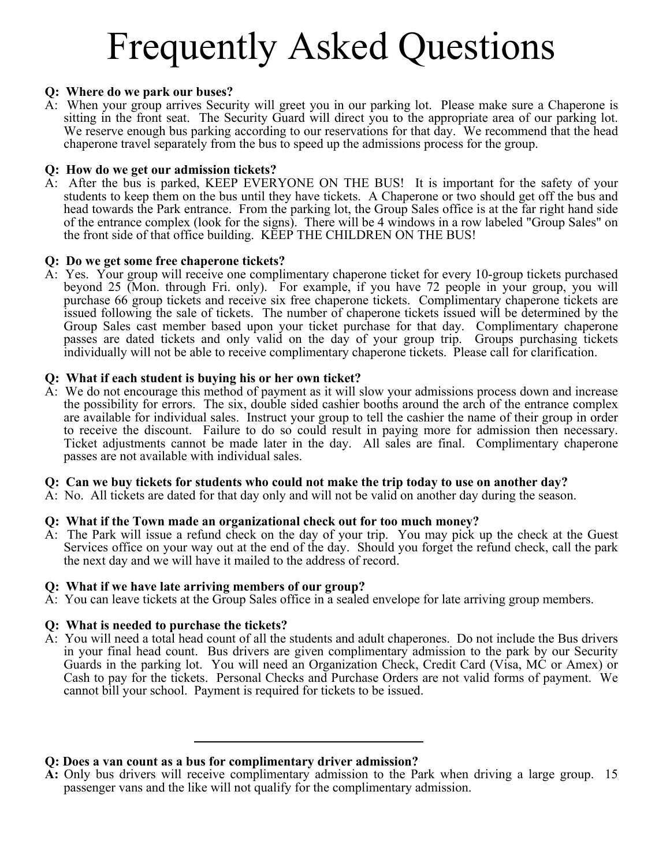# Frequently Asked Questions

#### **Q: Where do we park our buses?**

A: When your group arrives Security will greet you in our parking lot. Please make sure a Chaperone is sitting in the front seat. The Security Guard will direct you to the appropriate area of our parking lot. We reserve enough bus parking according to our reservations for that day. We recommend that the head chaperone travel separately from the bus to speed up the admissions process for the group.

#### **Q: How do we get our admission tickets?**

A: After the bus is parked, KEEP EVERYONE ON THE BUS! It is important for the safety of your students to keep them on the bus until they have tickets. A Chaperone or two should get off the bus and head towards the Park entrance. From the parking lot, the Group Sales office is at the far right hand side of the entrance complex (look for the signs). There will be 4 windows in a row labeled "Group Sales" on the front side of that office building. KEEP THE CHILDREN ON THE BUS!

#### **Q: Do we get some free chaperone tickets?**

A: Yes. Your group will receive one complimentary chaperone ticket for every 10-group tickets purchased beyond 25 (Mon. through Fri. only). For example, if you have 72 people in your group, you will purchase 66 group tickets and receive six free chaperone tickets. Complimentary chaperone tickets are issued following the sale of tickets. The number of chaperone tickets issued will be determined by the Group Sales cast member based upon your ticket purchase for that day. Complimentary chaperone passes are dated tickets and only valid on the day of your group trip. Groups purchasing tickets individually will not be able to receive complimentary chaperone tickets. Please call for clarification.

#### **Q: What if each student is buying his or her own ticket?**

A: We do not encourage this method of payment as it will slow your admissions process down and increase the possibility for errors. The six, double sided cashier booths around the arch of the entrance complex are available for individual sales. Instruct your group to tell the cashier the name of their group in order to receive the discount. Failure to do so could result in paying more for admission then necessary. Ticket adjustments cannot be made later in the day. All sales are final. Complimentary chaperone passes are not available with individual sales.

#### **Q: Can we buy tickets for students who could not make the trip today to use on another day?**

A: No. All tickets are dated for that day only and will not be valid on another day during the season.

## **Q: What if the Town made an organizational check out for too much money?**

A: The Park will issue a refund check on the day of your trip. You may pick up the check at the Guest Services office on your way out at the end of the day. Should you forget the refund check, call the park the next day and we will have it mailed to the address of record.

#### **Q: What if we have late arriving members of our group?**

A: You can leave tickets at the Group Sales office in a sealed envelope for late arriving group members.

## **Q: What is needed to purchase the tickets?**

A: You will need a total head count of all the students and adult chaperones. Do not include the Bus drivers in your final head count. Bus drivers are given complimentary admission to the park by our Security Guards in the parking lot. You will need an Organization Check, Credit Card (Visa, MC or Amex) or Cash to pay for the tickets. Personal Checks and Purchase Orders are not valid forms of payment. We cannot bill your school. Payment is required for tickets to be issued.

## **Q: Does a van count as a bus for complimentary driver admission?**

**A:** Only bus drivers will receive complimentary admission to the Park when driving a large group. 15 passenger vans and the like will not qualify for the complimentary admission.